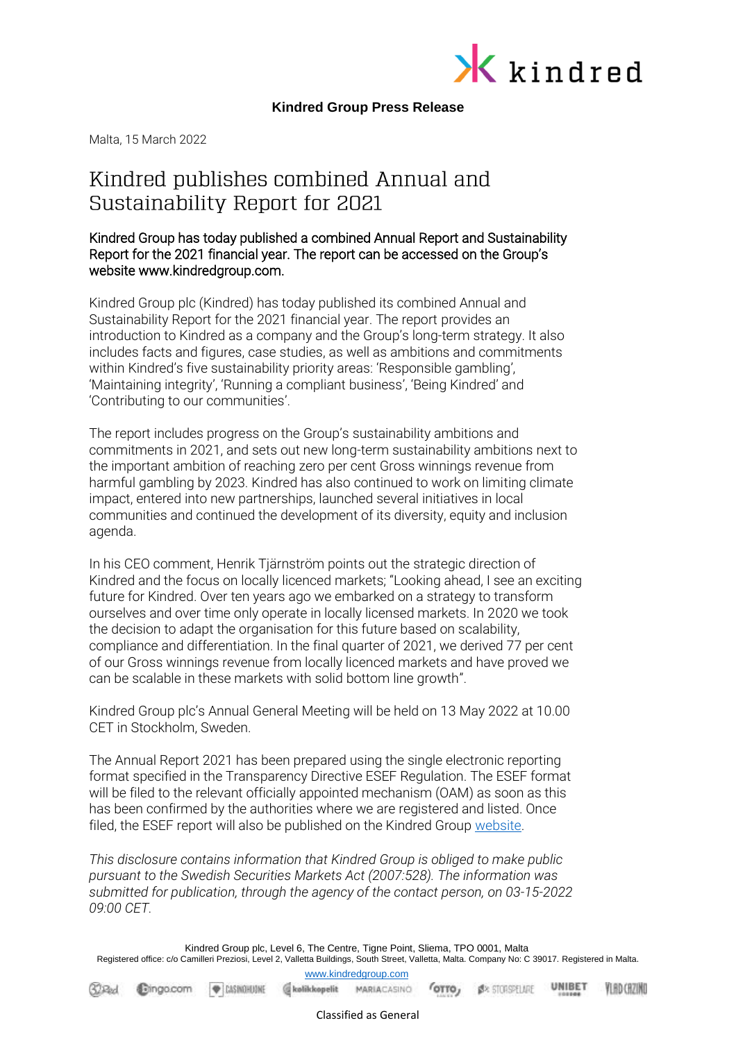

## **Kindred Group Press Release**

Malta, 15 March 2022

# Kindred publishes combined Annual and Sustainability Report for 2021

## Kindred Group has today published a combined Annual Report and Sustainability Report for the 2021 financial year. The report can be accessed on the Group's website www.kindredgroup.com.

Kindred Group plc (Kindred) has today published its combined Annual and Sustainability Report for the 2021 financial year. The report provides an introduction to Kindred as a company and the Group's long-term strategy. It also includes facts and figures, case studies, as well as ambitions and commitments within Kindred's five sustainability priority areas: 'Responsible gambling', 'Maintaining integrity', 'Running a compliant business', 'Being Kindred' and 'Contributing to our communities'.

The report includes progress on the Group's sustainability ambitions and commitments in 2021, and sets out new long-term sustainability ambitions next to the important ambition of reaching zero per cent Gross winnings revenue from harmful gambling by 2023. Kindred has also continued to work on limiting climate impact, entered into new partnerships, launched several initiatives in local communities and continued the development of its diversity, equity and inclusion agenda.

In his CEO comment, Henrik Tjärnström points out the strategic direction of Kindred and the focus on locally licenced markets; "Looking ahead, I see an exciting future for Kindred. Over ten years ago we embarked on a strategy to transform ourselves and over time only operate in locally licensed markets. In 2020 we took the decision to adapt the organisation for this future based on scalability, compliance and differentiation. In the final quarter of 2021, we derived 77 per cent of our Gross winnings revenue from locally licenced markets and have proved we can be scalable in these markets with solid bottom line growth".

Kindred Group plc's Annual General Meeting will be held on 13 May 2022 at 10.00 CET in Stockholm, Sweden.

The Annual Report 2021 has been prepared using the single electronic reporting format specified in the Transparency Directive ESEF Regulation. The ESEF format will be filed to the relevant officially appointed mechanism (OAM) as soon as this has been confirmed by the authorities where we are registered and listed. Once filed, the ESEF report will also be published on the Kindred Group [website.](https://www.kindredgroup.com/investors/reports--presentations/?year=2021)

*This disclosure contains information that Kindred Group is obliged to make public pursuant to the Swedish Securities Markets Act (2007:528). The information was submitted for publication, through the agency of the contact person, on 03-15-2022 09:00 CET.*

Kindred Group plc, Level 6, The Centre, Tigne Point, Sliema, TPO 0001, Malta Registered office: c/o Camilleri Preziosi, Level 2, Valletta Buildings, South Street, Valletta, Malta. Company No: C 39017. Registered in Malta. [www.kindredgroup.com](http://www.kindredgroup.com/)

UNIBET **Bolikkopelit** MARIACASINO **OTTO**, **S**<sup>x</sup> STORSFLARE **YLAD CAZIND**  $32$ Red